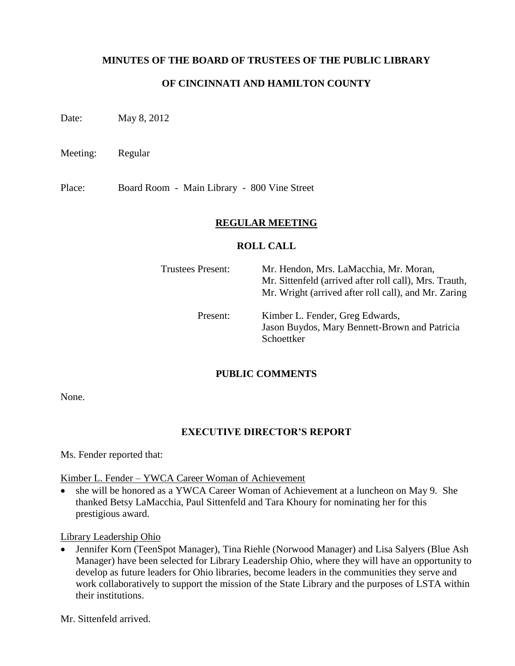### **MINUTES OF THE BOARD OF TRUSTEES OF THE PUBLIC LIBRARY**

### **OF CINCINNATI AND HAMILTON COUNTY**

Date: May 8, 2012

Meeting: Regular

Place: Board Room - Main Library - 800 Vine Street

### **REGULAR MEETING**

#### **ROLL CALL**

| Trustees Present: | Mr. Hendon, Mrs. LaMacchia, Mr. Moran,<br>Mr. Sittenfeld (arrived after roll call), Mrs. Trauth,<br>Mr. Wright (arrived after roll call), and Mr. Zaring |
|-------------------|----------------------------------------------------------------------------------------------------------------------------------------------------------|
| Present:          | Kimber L. Fender, Greg Edwards,<br>Jason Buydos, Mary Bennett-Brown and Patricia<br>Schoettker                                                           |

### **PUBLIC COMMENTS**

None.

### **EXECUTIVE DIRECTOR'S REPORT**

Ms. Fender reported that:

### Kimber L. Fender – YWCA Career Woman of Achievement

• she will be honored as a YWCA Career Woman of Achievement at a luncheon on May 9. She thanked Betsy LaMacchia, Paul Sittenfeld and Tara Khoury for nominating her for this prestigious award.

### Library Leadership Ohio

 Jennifer Korn (TeenSpot Manager), Tina Riehle (Norwood Manager) and Lisa Salyers (Blue Ash Manager) have been selected for Library Leadership Ohio, where they will have an opportunity to develop as future leaders for Ohio libraries, become leaders in the communities they serve and work collaboratively to support the mission of the State Library and the purposes of LSTA within their institutions.

Mr. Sittenfeld arrived.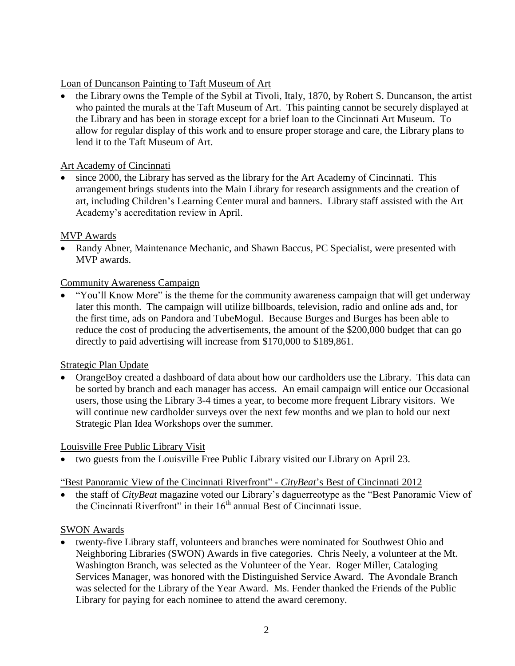Loan of Duncanson Painting to Taft Museum of Art

 the Library owns the Temple of the Sybil at Tivoli, Italy, 1870, by Robert S. Duncanson, the artist who painted the murals at the Taft Museum of Art. This painting cannot be securely displayed at the Library and has been in storage except for a brief loan to the Cincinnati Art Museum. To allow for regular display of this work and to ensure proper storage and care, the Library plans to lend it to the Taft Museum of Art.

### Art Academy of Cincinnati

 since 2000, the Library has served as the library for the Art Academy of Cincinnati. This arrangement brings students into the Main Library for research assignments and the creation of art, including Children's Learning Center mural and banners. Library staff assisted with the Art Academy's accreditation review in April.

# MVP Awards

 Randy Abner, Maintenance Mechanic, and Shawn Baccus, PC Specialist, were presented with MVP awards.

# Community Awareness Campaign

"You'll Know More" is the theme for the community awareness campaign that will get underway later this month. The campaign will utilize billboards, television, radio and online ads and, for the first time, ads on Pandora and TubeMogul. Because Burges and Burges has been able to reduce the cost of producing the advertisements, the amount of the \$200,000 budget that can go directly to paid advertising will increase from \$170,000 to \$189,861.

# Strategic Plan Update

 OrangeBoy created a dashboard of data about how our cardholders use the Library. This data can be sorted by branch and each manager has access. An email campaign will entice our Occasional users, those using the Library 3-4 times a year, to become more frequent Library visitors. We will continue new cardholder surveys over the next few months and we plan to hold our next Strategic Plan Idea Workshops over the summer.

# Louisville Free Public Library Visit

two guests from the Louisville Free Public Library visited our Library on April 23.

# ―Best Panoramic View of the Cincinnati Riverfront‖ - *CityBeat*'s Best of Cincinnati 2012

the staff of *CityBeat* magazine voted our Library's daguerreotype as the "Best Panoramic View of the Cincinnati Riverfront" in their  $16<sup>th</sup>$  annual Best of Cincinnati issue.

# SWON Awards

 twenty-five Library staff, volunteers and branches were nominated for Southwest Ohio and Neighboring Libraries (SWON) Awards in five categories. Chris Neely, a volunteer at the Mt. Washington Branch, was selected as the Volunteer of the Year. Roger Miller, Cataloging Services Manager, was honored with the Distinguished Service Award. The Avondale Branch was selected for the Library of the Year Award. Ms. Fender thanked the Friends of the Public Library for paying for each nominee to attend the award ceremony.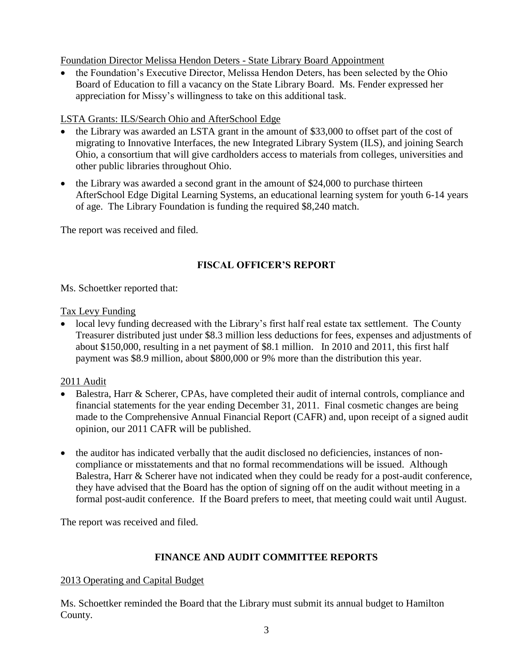Foundation Director Melissa Hendon Deters - State Library Board Appointment

• the Foundation's Executive Director, Melissa Hendon Deters, has been selected by the Ohio Board of Education to fill a vacancy on the State Library Board. Ms. Fender expressed her appreciation for Missy's willingness to take on this additional task.

# LSTA Grants: ILS/Search Ohio and AfterSchool Edge

- the Library was awarded an LSTA grant in the amount of \$33,000 to offset part of the cost of migrating to Innovative Interfaces, the new Integrated Library System (ILS), and joining Search Ohio, a consortium that will give cardholders access to materials from colleges, universities and other public libraries throughout Ohio.
- the Library was awarded a second grant in the amount of \$24,000 to purchase thirteen AfterSchool Edge Digital Learning Systems, an educational learning system for youth 6-14 years of age. The Library Foundation is funding the required \$8,240 match.

The report was received and filed.

# **FISCAL OFFICER'S REPORT**

Ms. Schoettker reported that:

# Tax Levy Funding

• local levy funding decreased with the Library's first half real estate tax settlement. The County Treasurer distributed just under \$8.3 million less deductions for fees, expenses and adjustments of about \$150,000, resulting in a net payment of \$8.1 million. In 2010 and 2011, this first half payment was \$8.9 million, about \$800,000 or 9% more than the distribution this year.

# 2011 Audit

- Balestra, Harr & Scherer, CPAs, have completed their audit of internal controls, compliance and financial statements for the year ending December 31, 2011. Final cosmetic changes are being made to the Comprehensive Annual Financial Report (CAFR) and, upon receipt of a signed audit opinion, our 2011 CAFR will be published.
- the auditor has indicated verbally that the audit disclosed no deficiencies, instances of noncompliance or misstatements and that no formal recommendations will be issued. Although Balestra, Harr & Scherer have not indicated when they could be ready for a post-audit conference, they have advised that the Board has the option of signing off on the audit without meeting in a formal post-audit conference. If the Board prefers to meet, that meeting could wait until August.

The report was received and filed.

# **FINANCE AND AUDIT COMMITTEE REPORTS**

# 2013 Operating and Capital Budget

Ms. Schoettker reminded the Board that the Library must submit its annual budget to Hamilton County.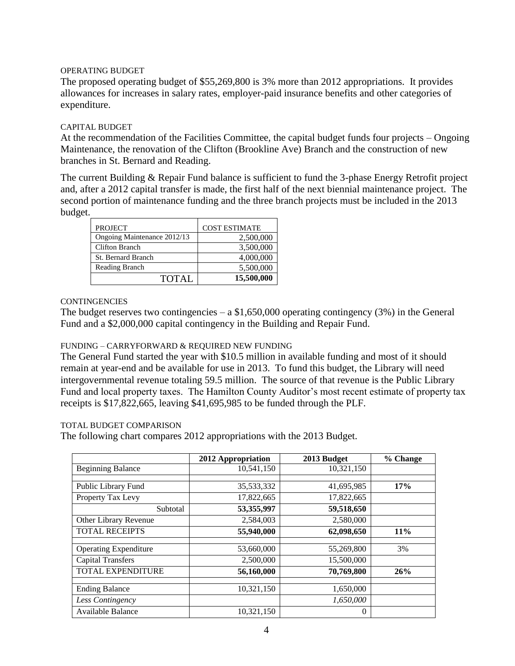#### OPERATING BUDGET

The proposed operating budget of \$55,269,800 is 3% more than 2012 appropriations. It provides allowances for increases in salary rates, employer-paid insurance benefits and other categories of expenditure.

#### CAPITAL BUDGET

At the recommendation of the Facilities Committee, the capital budget funds four projects – Ongoing Maintenance, the renovation of the Clifton (Brookline Ave) Branch and the construction of new branches in St. Bernard and Reading.

The current Building & Repair Fund balance is sufficient to fund the 3-phase Energy Retrofit project and, after a 2012 capital transfer is made, the first half of the next biennial maintenance project. The second portion of maintenance funding and the three branch projects must be included in the 2013 budget.

| <b>PROJECT</b>              | <b>COST ESTIMATE</b> |
|-----------------------------|----------------------|
| Ongoing Maintenance 2012/13 | 2,500,000            |
| <b>Clifton Branch</b>       | 3,500,000            |
| St. Bernard Branch          | 4,000,000            |
| Reading Branch              | 5,500,000            |
| <b>TOTAL</b>                | 15,500,000           |

#### **CONTINGENCIES**

The budget reserves two contingencies – a  $$1,650,000$  operating contingency (3%) in the General Fund and a \$2,000,000 capital contingency in the Building and Repair Fund.

### FUNDING – CARRYFORWARD & REQUIRED NEW FUNDING

The General Fund started the year with \$10.5 million in available funding and most of it should remain at year-end and be available for use in 2013. To fund this budget, the Library will need intergovernmental revenue totaling 59.5 million. The source of that revenue is the Public Library Fund and local property taxes. The Hamilton County Auditor's most recent estimate of property tax receipts is \$17,822,665, leaving \$41,695,985 to be funded through the PLF.

#### TOTAL BUDGET COMPARISON

The following chart compares 2012 appropriations with the 2013 Budget.

|                              | 2012 Appropriation | 2013 Budget | % Change |
|------------------------------|--------------------|-------------|----------|
| <b>Beginning Balance</b>     | 10,541,150         | 10,321,150  |          |
|                              |                    |             |          |
| Public Library Fund          | 35,533,332         | 41,695,985  | 17%      |
| Property Tax Levy            | 17,822,665         | 17,822,665  |          |
| Subtotal                     | 53,355,997         | 59,518,650  |          |
| Other Library Revenue        | 2,584,003          | 2,580,000   |          |
| <b>TOTAL RECEIPTS</b>        | 55,940,000         | 62,098,650  | 11%      |
|                              |                    |             |          |
| <b>Operating Expenditure</b> | 53,660,000         | 55,269,800  | 3%       |
| <b>Capital Transfers</b>     | 2,500,000          | 15,500,000  |          |
| TOTAL EXPENDITURE            | 56,160,000         | 70,769,800  | 26%      |
|                              |                    |             |          |
| <b>Ending Balance</b>        | 10,321,150         | 1,650,000   |          |
| Less Contingency             |                    | 1,650,000   |          |
| Available Balance            | 10,321,150         | $\theta$    |          |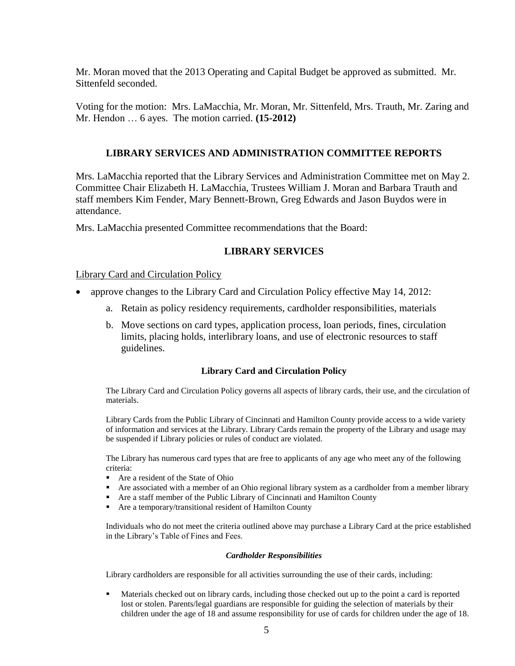Mr. Moran moved that the 2013 Operating and Capital Budget be approved as submitted. Mr. Sittenfeld seconded.

Voting for the motion: Mrs. LaMacchia, Mr. Moran, Mr. Sittenfeld, Mrs. Trauth, Mr. Zaring and Mr. Hendon … 6 ayes. The motion carried. **(15-2012)**

### **LIBRARY SERVICES AND ADMINISTRATION COMMITTEE REPORTS**

Mrs. LaMacchia reported that the Library Services and Administration Committee met on May 2. Committee Chair Elizabeth H. LaMacchia, Trustees William J. Moran and Barbara Trauth and staff members Kim Fender, Mary Bennett-Brown, Greg Edwards and Jason Buydos were in attendance.

Mrs. LaMacchia presented Committee recommendations that the Board:

### **LIBRARY SERVICES**

Library Card and Circulation Policy

- approve changes to the Library Card and Circulation Policy effective May 14, 2012:
	- a. Retain as policy residency requirements, cardholder responsibilities, materials
	- b. Move sections on card types, application process, loan periods, fines, circulation limits, placing holds, interlibrary loans, and use of electronic resources to staff guidelines.

#### **Library Card and Circulation Policy**

The Library Card and Circulation Policy governs all aspects of library cards, their use, and the circulation of materials.

Library Cards from the Public Library of Cincinnati and Hamilton County provide access to a wide variety of information and services at the Library. Library Cards remain the property of the Library and usage may be suspended if Library policies or rules of conduct are violated.

The Library has numerous card types that are free to applicants of any age who meet any of the following criteria:

- Are a resident of the State of Ohio
- Are associated with a member of an Ohio regional library system as a cardholder from a member library
- Are a staff member of the Public Library of Cincinnati and Hamilton County
- Are a temporary/transitional resident of Hamilton County

Individuals who do not meet the criteria outlined above may purchase a Library Card at the price established in the Library's Table of Fines and Fees.

#### *Cardholder Responsibilities*

Library cardholders are responsible for all activities surrounding the use of their cards, including:

 Materials checked out on library cards, including those checked out up to the point a card is reported lost or stolen. Parents/legal guardians are responsible for guiding the selection of materials by their children under the age of 18 and assume responsibility for use of cards for children under the age of 18.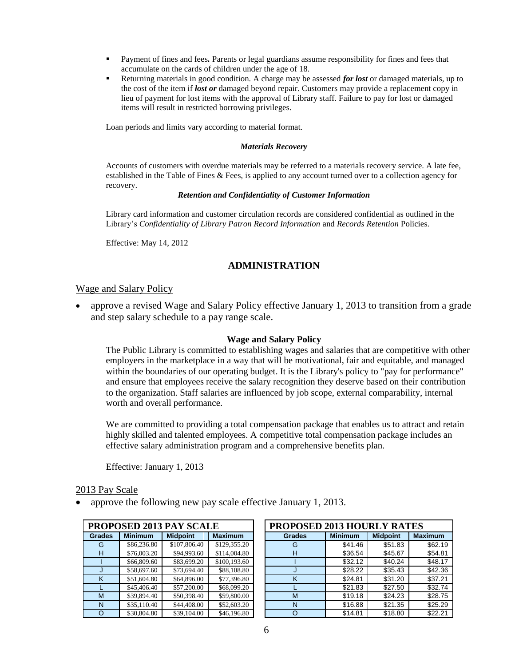- Payment of fines and fees*.* Parents or legal guardians assume responsibility for fines and fees that accumulate on the cards of children under the age of 18.
- Returning materials in good condition. A charge may be assessed *for lost* or damaged materials, up to the cost of the item if *lost or* damaged beyond repair. Customers may provide a replacement copy in lieu of payment for lost items with the approval of Library staff. Failure to pay for lost or damaged items will result in restricted borrowing privileges.

Loan periods and limits vary according to material format.

#### *Materials Recovery*

Accounts of customers with overdue materials may be referred to a materials recovery service. A late fee, established in the Table of Fines & Fees, is applied to any account turned over to a collection agency for recovery.

#### *Retention and Confidentiality of Customer Information*

Library card information and customer circulation records are considered confidential as outlined in the Library's *Confidentiality of Library Patron Record Information* and *Records Retention* Policies.

Effective: May 14, 2012

### **ADMINISTRATION**

#### Wage and Salary Policy

• approve a revised Wage and Salary Policy effective January 1, 2013 to transition from a grade and step salary schedule to a pay range scale.

#### **Wage and Salary Policy**

The Public Library is committed to establishing wages and salaries that are competitive with other employers in the marketplace in a way that will be motivational, fair and equitable, and managed within the boundaries of our operating budget. It is the Library's policy to "pay for performance" and ensure that employees receive the salary recognition they deserve based on their contribution to the organization. Staff salaries are influenced by job scope, external comparability, internal worth and overall performance.

We are committed to providing a total compensation package that enables us to attract and retain highly skilled and talented employees. A competitive total compensation package includes an effective salary administration program and a comprehensive benefits plan.

Effective: January 1, 2013

#### 2013 Pay Scale

approve the following new pay scale effective January 1, 2013.

|               | PROPOSED 2013 PAY SCALE |                 |                | <b>PROPOSED 2013 HOURLY RATES</b> |                |                 |    |
|---------------|-------------------------|-----------------|----------------|-----------------------------------|----------------|-----------------|----|
| <b>Grades</b> | <b>Minimum</b>          | <b>Midpoint</b> | <b>Maximum</b> | <b>Grades</b>                     | <b>Minimum</b> | <b>Midpoint</b> | Ma |
| G             | \$86,236.80             | \$107,806.40    | \$129,355.20   | G                                 | \$41.46        | \$51.83         |    |
| н             | \$76,003.20             | \$94,993.60     | \$114,004.80   | H                                 | \$36.54        | \$45.67         |    |
|               | \$66,809.60             | \$83,699.20     | \$100,193.60   |                                   | \$32.12        | \$40.24         |    |
|               | \$58,697.60             | \$73,694.40     | \$88,108.80    |                                   | \$28.22        | \$35.43         |    |
| Κ             | \$51,604.80             | \$64,896.00     | \$77,396.80    | K                                 | \$24.81        | \$31.20         |    |
|               | \$45,406.40             | \$57,200.00     | \$68,099.20    |                                   | \$21.83        | \$27.50         |    |
| M             | \$39,894.40             | \$50,398.40     | \$59,800.00    | M                                 | \$19.18        | \$24.23         |    |
| N             | \$35,110.40             | \$44,408.00     | \$52,603.20    | N                                 | \$16.88        | \$21.35         |    |
|               | \$30,804.80             | \$39.104.00     | \$46.196.80    |                                   | \$14.81        | \$18.80         |    |

| <b>PROPOSED 2013 PAY SCALE</b> |                |                 | <b>PROPOSED 2013 HOURLY RATES</b> |               |                |                 |                |
|--------------------------------|----------------|-----------------|-----------------------------------|---------------|----------------|-----------------|----------------|
| <b>Grades</b>                  | <b>Minimum</b> | <b>Midpoint</b> | <b>Maximum</b>                    | <b>Grades</b> | <b>Minimum</b> | <b>Midpoint</b> | <b>Maximum</b> |
| G                              | \$86,236.80    | \$107,806.40    | \$129,355.20                      | G             | \$41.46        | \$51.83         | \$62.19        |
| H                              | \$76,003.20    | \$94,993.60     | \$114,004.80                      | н             | \$36.54        | \$45.67         | \$54.81        |
|                                | \$66,809.60    | \$83,699.20     | \$100,193.60                      |               | \$32.12        | \$40.24         | \$48.17        |
|                                | \$58,697.60    | \$73,694.40     | \$88,108.80                       |               | \$28.22        | \$35.43         | \$42.36        |
| κ                              | \$51,604.80    | \$64,896.00     | \$77,396.80                       | Κ             | \$24.81        | \$31.20         | \$37.21        |
|                                | \$45,406.40    | \$57,200.00     | \$68,099.20                       |               | \$21.83        | \$27.50         | \$32.74        |
| M                              | \$39,894.40    | \$50,398.40     | \$59,800.00                       | M             | \$19.18        | \$24.23         | \$28.75        |
| N                              | \$35,110.40    | \$44,408.00     | \$52,603.20                       | N             | \$16.88        | \$21.35         | \$25.29        |
|                                | \$30,804.80    | \$39,104.00     | \$46,196.80                       | O             | \$14.81        | \$18.80         | \$22.21        |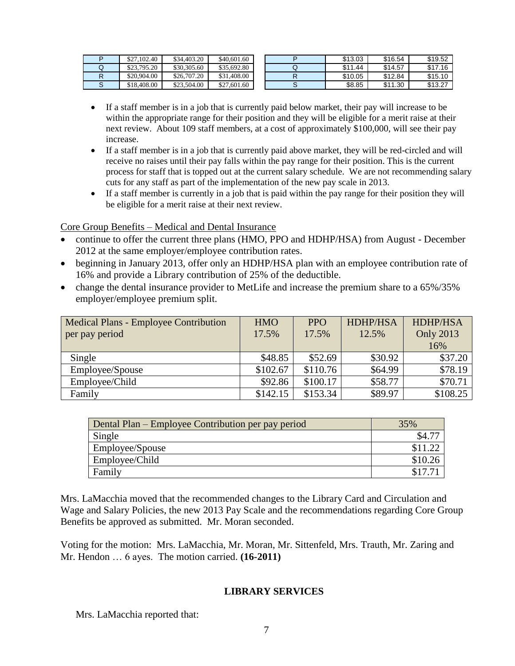| \$27,102.40 | \$34,403.20 | \$40,601.60 |   | \$13.03 | \$16.54 | \$19.52 |
|-------------|-------------|-------------|---|---------|---------|---------|
| \$23,795.20 | \$30,305.60 | \$35,692.80 | ◡ | \$11.44 | \$14.57 | \$17.16 |
| \$20,904.00 | \$26,707.20 | \$31,408.00 |   | \$10.05 | \$12.84 | \$15.10 |
| \$18,408.00 | \$23,504.00 | \$27,601.60 |   | \$8.85  | \$11.30 | \$13.27 |

- If a staff member is in a job that is currently paid below market, their pay will increase to be within the appropriate range for their position and they will be eligible for a merit raise at their next review. About 109 staff members, at a cost of approximately \$100,000, will see their pay increase.
- If a staff member is in a job that is currently paid above market, they will be red-circled and will receive no raises until their pay falls within the pay range for their position. This is the current process for staff that is topped out at the current salary schedule. We are not recommending salary cuts for any staff as part of the implementation of the new pay scale in 2013.
- If a staff member is currently in a job that is paid within the pay range for their position they will be eligible for a merit raise at their next review.

### Core Group Benefits – Medical and Dental Insurance

- continue to offer the current three plans (HMO, PPO and HDHP/HSA) from August December 2012 at the same employer/employee contribution rates.
- beginning in January 2013, offer only an HDHP/HSA plan with an employee contribution rate of 16% and provide a Library contribution of 25% of the deductible.
- change the dental insurance provider to MetLife and increase the premium share to a 65%/35% employer/employee premium split.

| <b>Medical Plans - Employee Contribution</b><br>per pay period | <b>HMO</b><br>17.5% | <b>PPO</b><br>17.5% | <b>HDHP/HSA</b><br>12.5% | HDHP/HSA<br><b>Only 2013</b><br>16% |
|----------------------------------------------------------------|---------------------|---------------------|--------------------------|-------------------------------------|
| Single                                                         | \$48.85             | \$52.69             | \$30.92                  | \$37.20                             |
| Employee/Spouse                                                | \$102.67            | \$110.76            | \$64.99                  | \$78.19                             |
| Employee/Child                                                 | \$92.86             | \$100.17            | \$58.77                  | \$70.71                             |
| Family                                                         | \$142.15            | \$153.34            | \$89.97                  | \$108.25                            |

| Dental Plan – Employee Contribution per pay period | 35%     |
|----------------------------------------------------|---------|
| Single                                             | \$4.    |
| Employee/Spouse                                    | \$11.22 |
| Employee/Child                                     | \$10.26 |
| Family                                             | \$17.7  |

Mrs. LaMacchia moved that the recommended changes to the Library Card and Circulation and Wage and Salary Policies, the new 2013 Pay Scale and the recommendations regarding Core Group Benefits be approved as submitted. Mr. Moran seconded.

Voting for the motion: Mrs. LaMacchia, Mr. Moran, Mr. Sittenfeld, Mrs. Trauth, Mr. Zaring and Mr. Hendon … 6 ayes. The motion carried. **(16-2011)**

### **LIBRARY SERVICES**

Mrs. LaMacchia reported that: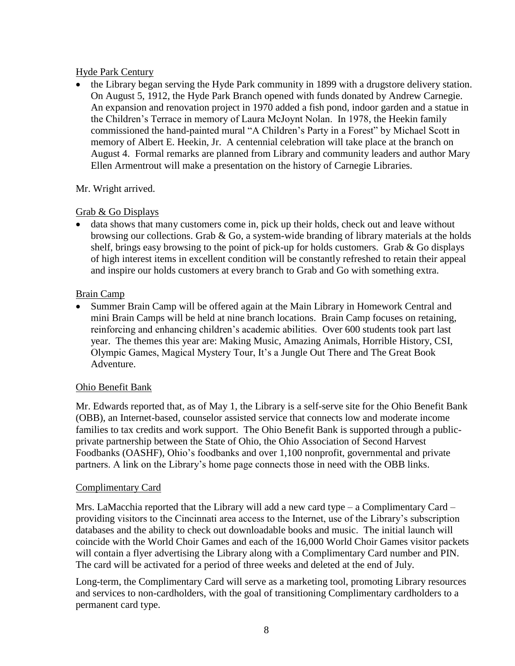### Hyde Park Century

• the Library began serving the Hyde Park community in 1899 with a drugstore delivery station. On August 5, 1912, the Hyde Park Branch opened with funds donated by Andrew Carnegie. An expansion and renovation project in 1970 added a fish pond, indoor garden and a statue in the Children's Terrace in memory of Laura McJoynt Nolan. In 1978, the Heekin family commissioned the hand-painted mural "A Children's Party in a Forest" by Michael Scott in memory of Albert E. Heekin, Jr. A centennial celebration will take place at the branch on August 4. Formal remarks are planned from Library and community leaders and author Mary Ellen Armentrout will make a presentation on the history of Carnegie Libraries.

### Mr. Wright arrived.

### Grab & Go Displays

 data shows that many customers come in, pick up their holds, check out and leave without browsing our collections. Grab  $& Go$ , a system-wide branding of library materials at the holds shelf, brings easy browsing to the point of pick-up for holds customers. Grab & Go displays of high interest items in excellent condition will be constantly refreshed to retain their appeal and inspire our holds customers at every branch to Grab and Go with something extra.

### Brain Camp

 Summer Brain Camp will be offered again at the Main Library in Homework Central and mini Brain Camps will be held at nine branch locations. Brain Camp focuses on retaining, reinforcing and enhancing children's academic abilities. Over 600 students took part last year. The themes this year are: Making Music, Amazing Animals, Horrible History, CSI, Olympic Games, Magical Mystery Tour, It's a Jungle Out There and The Great Book Adventure.

### Ohio Benefit Bank

Mr. Edwards reported that, as of May 1, the Library is a self-serve site for the Ohio Benefit Bank (OBB), an Internet-based, counselor assisted service that connects low and moderate income families to tax credits and work support. The Ohio Benefit Bank is supported through a publicprivate partnership between the State of Ohio, the Ohio Association of Second Harvest Foodbanks (OASHF), Ohio's foodbanks and over 1,100 nonprofit, governmental and private partners. A link on the Library's home page connects those in need with the OBB links.

### Complimentary Card

Mrs. LaMacchia reported that the Library will add a new card type – a Complimentary Card – providing visitors to the Cincinnati area access to the Internet, use of the Library's subscription databases and the ability to check out downloadable books and music. The initial launch will coincide with the World Choir Games and each of the 16,000 World Choir Games visitor packets will contain a flyer advertising the Library along with a Complimentary Card number and PIN. The card will be activated for a period of three weeks and deleted at the end of July.

Long-term, the Complimentary Card will serve as a marketing tool, promoting Library resources and services to non-cardholders, with the goal of transitioning Complimentary cardholders to a permanent card type.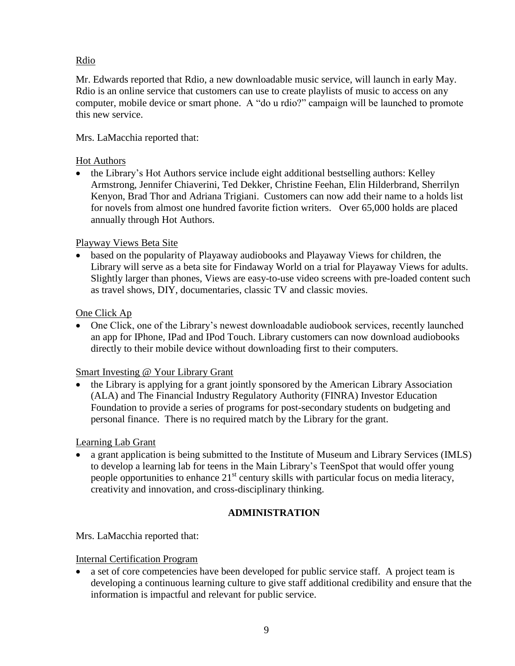# Rdio

Mr. Edwards reported that Rdio, a new downloadable music service, will launch in early May. Rdio is an online service that customers can use to create playlists of music to access on any computer, mobile device or smart phone. A "do u rdio?" campaign will be launched to promote this new service.

# Mrs. LaMacchia reported that:

### Hot Authors

• the Library's Hot Authors service include eight additional bestselling authors: Kelley Armstrong, Jennifer Chiaverini, Ted Dekker, Christine Feehan, Elin Hilderbrand, Sherrilyn Kenyon, Brad Thor and Adriana Trigiani. Customers can now add their name to a holds list for novels from almost one hundred favorite fiction writers. Over 65,000 holds are placed annually through Hot Authors.

# Playway Views Beta Site

 based on the popularity of Playaway audiobooks and Playaway Views for children, the Library will serve as a beta site for Findaway World on a trial for Playaway Views for adults. Slightly larger than phones, Views are easy-to-use video screens with pre-loaded content such as travel shows, DIY, documentaries, classic TV and classic movies.

# One Click Ap

• One Click, one of the Library's newest downloadable audiobook services, recently launched an app for IPhone, IPad and IPod Touch. Library customers can now download audiobooks directly to their mobile device without downloading first to their computers.

### Smart Investing @ Your Library Grant

 the Library is applying for a grant jointly sponsored by the American Library Association (ALA) and The Financial Industry Regulatory Authority (FINRA) Investor Education Foundation to provide a series of programs for post-secondary students on budgeting and personal finance. There is no required match by the Library for the grant.

### Learning Lab Grant

 a grant application is being submitted to the Institute of Museum and Library Services (IMLS) to develop a learning lab for teens in the Main Library's TeenSpot that would offer young people opportunities to enhance  $21<sup>st</sup>$  century skills with particular focus on media literacy, creativity and innovation, and cross-disciplinary thinking.

# **ADMINISTRATION**

Mrs. LaMacchia reported that:

### Internal Certification Program

 a set of core competencies have been developed for public service staff. A project team is developing a continuous learning culture to give staff additional credibility and ensure that the information is impactful and relevant for public service.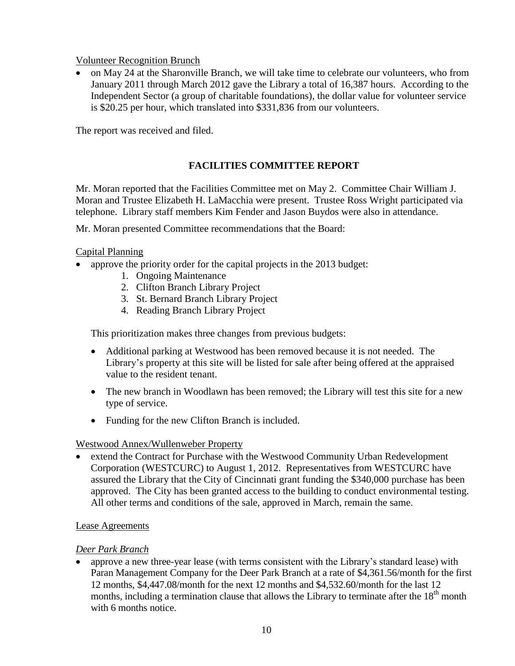Volunteer Recognition Brunch

• on May 24 at the Sharonville Branch, we will take time to celebrate our volunteers, who from January 2011 through March 2012 gave the Library a total of 16,387 hours. According to the Independent Sector (a group of charitable foundations), the dollar value for volunteer service is \$20.25 per hour, which translated into \$331,836 from our volunteers.

The report was received and filed.

### **FACILITIES COMMITTEE REPORT**

Mr. Moran reported that the Facilities Committee met on May 2. Committee Chair William J. Moran and Trustee Elizabeth H. LaMacchia were present. Trustee Ross Wright participated via telephone. Library staff members Kim Fender and Jason Buydos were also in attendance.

Mr. Moran presented Committee recommendations that the Board:

### Capital Planning

- approve the priority order for the capital projects in the 2013 budget:
	- 1. Ongoing Maintenance
	- 2. Clifton Branch Library Project
	- 3. St. Bernard Branch Library Project
	- 4. Reading Branch Library Project

This prioritization makes three changes from previous budgets:

- Additional parking at Westwood has been removed because it is not needed. The Library's property at this site will be listed for sale after being offered at the appraised value to the resident tenant.
- The new branch in Woodlawn has been removed; the Library will test this site for a new type of service.
- Funding for the new Clifton Branch is included.

### Westwood Annex/Wullenweber Property

 extend the Contract for Purchase with the Westwood Community Urban Redevelopment Corporation (WESTCURC) to August 1, 2012. Representatives from WESTCURC have assured the Library that the City of Cincinnati grant funding the \$340,000 purchase has been approved. The City has been granted access to the building to conduct environmental testing. All other terms and conditions of the sale, approved in March, remain the same.

### Lease Agreements

### *Deer Park Branch*

 approve a new three-year lease (with terms consistent with the Library's standard lease) with Paran Management Company for the Deer Park Branch at a rate of \$4,361.56/month for the first 12 months, \$4,447.08/month for the next 12 months and \$4,532.60/month for the last 12 months, including a termination clause that allows the Library to terminate after the  $18<sup>th</sup>$  month with 6 months notice.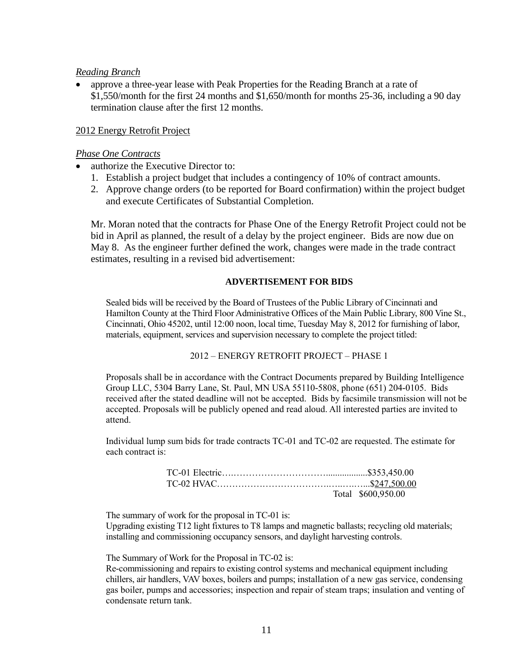#### *Reading Branch*

 approve a three-year lease with Peak Properties for the Reading Branch at a rate of \$1,550/month for the first 24 months and \$1,650/month for months 25-36, including a 90 day termination clause after the first 12 months.

#### 2012 Energy Retrofit Project

#### *Phase One Contracts*

- authorize the Executive Director to:
	- 1. Establish a project budget that includes a contingency of 10% of contract amounts.
	- 2. Approve change orders (to be reported for Board confirmation) within the project budget and execute Certificates of Substantial Completion.

Mr. Moran noted that the contracts for Phase One of the Energy Retrofit Project could not be bid in April as planned, the result of a delay by the project engineer. Bids are now due on May 8. As the engineer further defined the work, changes were made in the trade contract estimates, resulting in a revised bid advertisement:

#### **ADVERTISEMENT FOR BIDS**

Sealed bids will be received by the Board of Trustees of the Public Library of Cincinnati and Hamilton County at the Third Floor Administrative Offices of the Main Public Library, 800 Vine St., Cincinnati, Ohio 45202, until 12:00 noon, local time, Tuesday May 8, 2012 for furnishing of labor, materials, equipment, services and supervision necessary to complete the project titled:

#### 2012 – ENERGY RETROFIT PROJECT – PHASE 1

Proposals shall be in accordance with the Contract Documents prepared by Building Intelligence Group LLC, 5304 Barry Lane, St. Paul, MN USA 55110-5808, phone (651) 204-0105. Bids received after the stated deadline will not be accepted. Bids by facsimile transmission will not be accepted. Proposals will be publicly opened and read aloud. All interested parties are invited to attend.

Individual lump sum bids for trade contracts TC-01 and TC-02 are requested. The estimate for each contract is:

| Total \$600,950.00 |
|--------------------|

The summary of work for the proposal in TC-01 is:

Upgrading existing T12 light fixtures to T8 lamps and magnetic ballasts; recycling old materials; installing and commissioning occupancy sensors, and daylight harvesting controls.

The Summary of Work for the Proposal in TC-02 is:

Re-commissioning and repairs to existing control systems and mechanical equipment including chillers, air handlers, VAV boxes, boilers and pumps; installation of a new gas service, condensing gas boiler, pumps and accessories; inspection and repair of steam traps; insulation and venting of condensate return tank.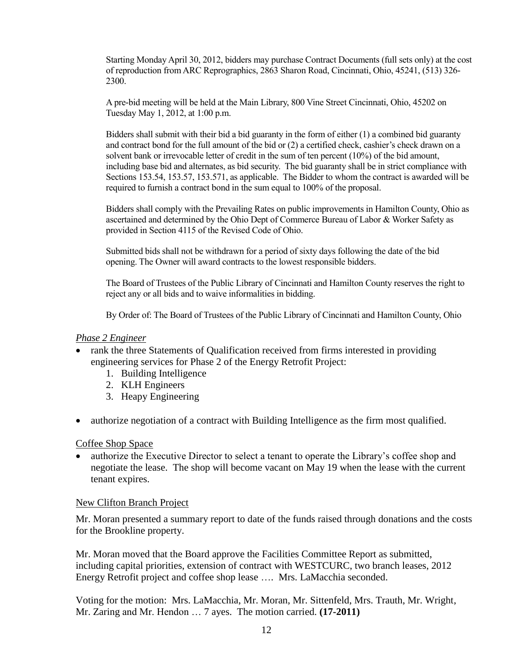Starting Monday April 30, 2012, bidders may purchase Contract Documents (full sets only) at the cost of reproduction from ARC Reprographics, 2863 Sharon Road, Cincinnati, Ohio, 45241, (513) 326- 2300.

A pre-bid meeting will be held at the Main Library, 800 Vine Street Cincinnati, Ohio, 45202 on Tuesday May 1, 2012, at 1:00 p.m.

Bidders shall submit with their bid a bid guaranty in the form of either (1) a combined bid guaranty and contract bond for the full amount of the bid or (2) a certified check, cashier's check drawn on a solvent bank or irrevocable letter of credit in the sum of ten percent (10%) of the bid amount, including base bid and alternates, as bid security. The bid guaranty shall be in strict compliance with Sections 153.54, 153.57, 153.571, as applicable. The Bidder to whom the contract is awarded will be required to furnish a contract bond in the sum equal to 100% of the proposal.

Bidders shall comply with the Prevailing Rates on public improvements in Hamilton County, Ohio as ascertained and determined by the Ohio Dept of Commerce Bureau of Labor & Worker Safety as provided in Section 4115 of the Revised Code of Ohio.

Submitted bids shall not be withdrawn for a period of sixty days following the date of the bid opening. The Owner will award contracts to the lowest responsible bidders.

The Board of Trustees of the Public Library of Cincinnati and Hamilton County reserves the right to reject any or all bids and to waive informalities in bidding.

By Order of: The Board of Trustees of the Public Library of Cincinnati and Hamilton County, Ohio

#### *Phase 2 Engineer*

- rank the three Statements of Qualification received from firms interested in providing engineering services for Phase 2 of the Energy Retrofit Project:
	- 1. Building Intelligence
	- 2. KLH Engineers
	- 3. Heapy Engineering
- authorize negotiation of a contract with Building Intelligence as the firm most qualified.

Coffee Shop Space

• authorize the Executive Director to select a tenant to operate the Library's coffee shop and negotiate the lease. The shop will become vacant on May 19 when the lease with the current tenant expires.

### New Clifton Branch Project

Mr. Moran presented a summary report to date of the funds raised through donations and the costs for the Brookline property.

Mr. Moran moved that the Board approve the Facilities Committee Report as submitted, including capital priorities, extension of contract with WESTCURC, two branch leases, 2012 Energy Retrofit project and coffee shop lease …. Mrs. LaMacchia seconded.

Voting for the motion: Mrs. LaMacchia, Mr. Moran, Mr. Sittenfeld, Mrs. Trauth, Mr. Wright, Mr. Zaring and Mr. Hendon … 7 ayes. The motion carried. **(17-2011)**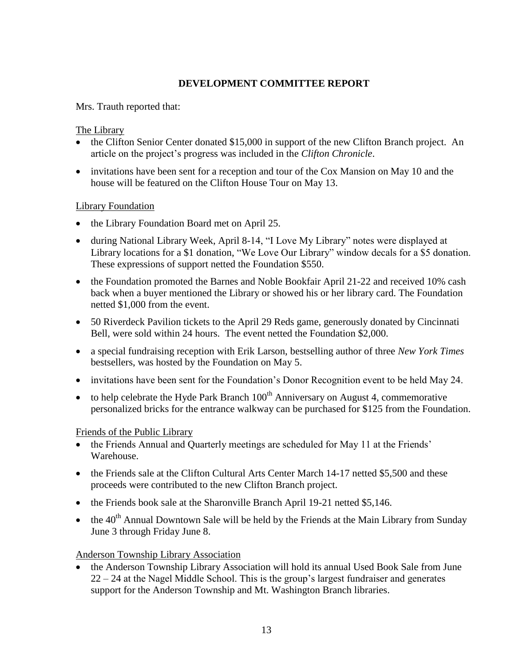# **DEVELOPMENT COMMITTEE REPORT**

Mrs. Trauth reported that:

### The Library

- the Clifton Senior Center donated \$15,000 in support of the new Clifton Branch project. An article on the project's progress was included in the *Clifton Chronicle*.
- invitations have been sent for a reception and tour of the Cox Mansion on May 10 and the house will be featured on the Clifton House Tour on May 13.

### Library Foundation

- the Library Foundation Board met on April 25.
- during National Library Week, April 8-14, "I Love My Library" notes were displayed at Library locations for a \$1 donation, "We Love Our Library" window decals for a \$5 donation. These expressions of support netted the Foundation \$550.
- the Foundation promoted the Barnes and Noble Bookfair April 21-22 and received 10% cash back when a buyer mentioned the Library or showed his or her library card. The Foundation netted \$1,000 from the event.
- 50 Riverdeck Pavilion tickets to the April 29 Reds game, generously donated by Cincinnati Bell, were sold within 24 hours. The event netted the Foundation \$2,000.
- a special fundraising reception with Erik Larson, bestselling author of three *New York Times* bestsellers, was hosted by the Foundation on May 5.
- invitations have been sent for the Foundation's Donor Recognition event to be held May 24.
- to help celebrate the Hyde Park Branch  $100<sup>th</sup>$  Anniversary on August 4, commemorative personalized bricks for the entrance walkway can be purchased for \$125 from the Foundation.

### Friends of the Public Library

- the Friends Annual and Quarterly meetings are scheduled for May 11 at the Friends' Warehouse.
- the Friends sale at the Clifton Cultural Arts Center March 14-17 netted \$5,500 and these proceeds were contributed to the new Clifton Branch project.
- the Friends book sale at the Sharonville Branch April 19-21 netted \$5,146.
- $\bullet$  the 40<sup>th</sup> Annual Downtown Sale will be held by the Friends at the Main Library from Sunday June 3 through Friday June 8.

### Anderson Township Library Association

• the Anderson Township Library Association will hold its annual Used Book Sale from June 22 – 24 at the Nagel Middle School. This is the group's largest fundraiser and generates support for the Anderson Township and Mt. Washington Branch libraries.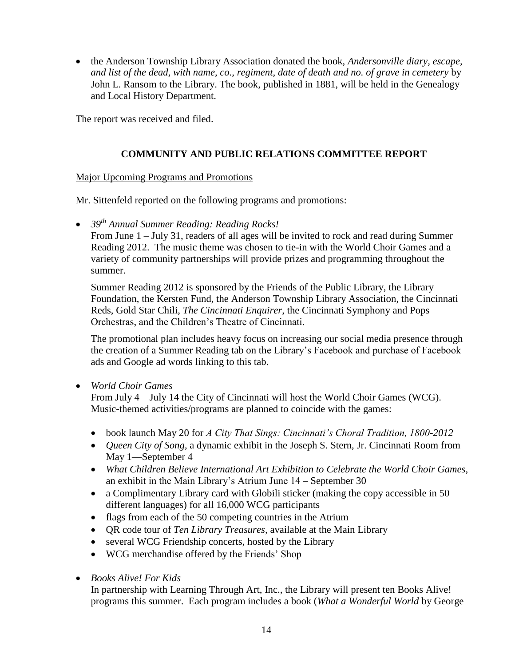the Anderson Township Library Association donated the book, *Andersonville diary, escape, and list of the dead, with name, co., regiment, date of death and no. of grave in cemetery* by John L. Ransom to the Library. The book, published in 1881, will be held in the Genealogy and Local History Department.

The report was received and filed.

### **COMMUNITY AND PUBLIC RELATIONS COMMITTEE REPORT**

### Major Upcoming Programs and Promotions

Mr. Sittenfeld reported on the following programs and promotions:

*39th Annual Summer Reading: Reading Rocks!*

From June 1 – July 31, readers of all ages will be invited to rock and read during Summer Reading 2012. The music theme was chosen to tie-in with the World Choir Games and a variety of community partnerships will provide prizes and programming throughout the summer.

Summer Reading 2012 is sponsored by the Friends of the Public Library, the Library Foundation, the Kersten Fund, the Anderson Township Library Association, the Cincinnati Reds, Gold Star Chili, *The Cincinnati Enquirer*, the Cincinnati Symphony and Pops Orchestras, and the Children's Theatre of Cincinnati.

The promotional plan includes heavy focus on increasing our social media presence through the creation of a Summer Reading tab on the Library's Facebook and purchase of Facebook ads and Google ad words linking to this tab.

*World Choir Games*

From July 4 – July 14 the City of Cincinnati will host the World Choir Games (WCG). Music-themed activities/programs are planned to coincide with the games:

- book launch May 20 for *A City That Sings: Cincinnati's Choral Tradition, 1800-2012*
- *Queen City of Song*, a dynamic exhibit in the Joseph S. Stern, Jr. Cincinnati Room from May 1—September 4
- *What Children Believe International Art Exhibition to Celebrate the World Choir Games,*  an exhibit in the Main Library's Atrium June 14 – September 30
- a Complimentary Library card with Globili sticker (making the copy accessible in 50 different languages) for all 16,000 WCG participants
- flags from each of the 50 competing countries in the Atrium
- QR code tour of *Ten Library Treasures,* available at the Main Library
- several WCG Friendship concerts, hosted by the Library
- WCG merchandise offered by the Friends' Shop
- *Books Alive! For Kids*

In partnership with Learning Through Art, Inc., the Library will present ten Books Alive! programs this summer. Each program includes a book (*What a Wonderful World* by George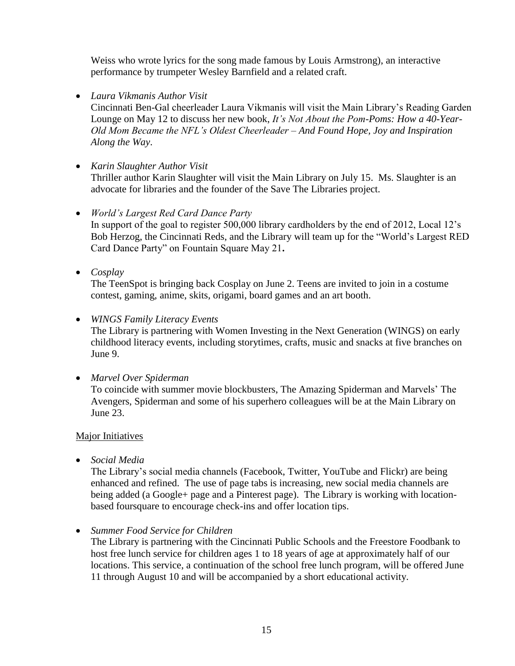Weiss who wrote lyrics for the song made famous by Louis Armstrong), an interactive performance by trumpeter Wesley Barnfield and a related craft.

*Laura Vikmanis Author Visit*

Cincinnati Ben-Gal cheerleader Laura Vikmanis will visit the Main Library's Reading Garden Lounge on May 12 to discuss her new book, *It's Not About the Pom-Poms: How a 40-Year-Old Mom Became the NFL's Oldest Cheerleader – And Found Hope, Joy and Inspiration Along the Way*.

*Karin Slaughter Author Visit*

Thriller author Karin Slaughter will visit the Main Library on July 15. Ms. Slaughter is an advocate for libraries and the founder of the Save The Libraries project.

- *World's Largest Red Card Dance Party*  In support of the goal to register 500,000 library cardholders by the end of 2012, Local 12's Bob Herzog, the Cincinnati Reds, and the Library will team up for the "World's Largest RED Card Dance Party" on Fountain Square May 21.
- *Cosplay*

The TeenSpot is bringing back Cosplay on June 2. Teens are invited to join in a costume contest, gaming, anime, skits, origami, board games and an art booth.

*WINGS Family Literacy Events*

The Library is partnering with Women Investing in the Next Generation (WINGS) on early childhood literacy events, including storytimes, crafts, music and snacks at five branches on June 9.

*Marvel Over Spiderman*

To coincide with summer movie blockbusters, The Amazing Spiderman and Marvels' The Avengers, Spiderman and some of his superhero colleagues will be at the Main Library on June 23.

### Major Initiatives

*Social Media*

The Library's social media channels (Facebook, Twitter, YouTube and Flickr) are being enhanced and refined. The use of page tabs is increasing, new social media channels are being added (a Google+ page and a Pinterest page). The Library is working with locationbased foursquare to encourage check-ins and offer location tips.

*Summer Food Service for Children*

The Library is partnering with the Cincinnati Public Schools and the Freestore Foodbank to host free lunch service for children ages 1 to 18 years of age at approximately half of our locations. This service, a continuation of the school free lunch program, will be offered June 11 through August 10 and will be accompanied by a short educational activity.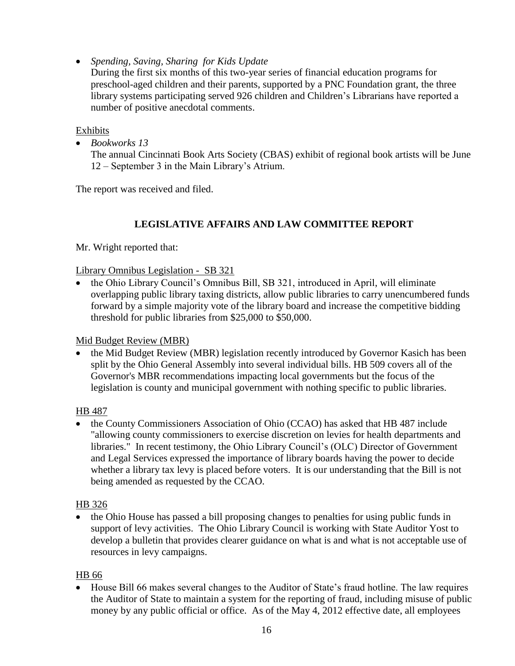*[Spending, Saving, Sharing](http://www.cincinnatilibrary.org/news/2012/spendingsavingsharing.html) for Kids Update*

During the first six months of this two-year series of financial education programs for preschool-aged children and their parents, supported by a PNC Foundation grant, the three library systems participating served 926 children and Children's Librarians have reported a number of positive anecdotal comments.

Exhibits

*Bookworks 13*

The annual Cincinnati Book Arts Society (CBAS) exhibit of regional book artists will be June 12 – September 3 in the Main Library's Atrium.

The report was received and filed.

# **LEGISLATIVE AFFAIRS AND LAW COMMITTEE REPORT**

Mr. Wright reported that:

### Library Omnibus Legislation - SB 321

 the Ohio Library Council's Omnibus Bill, SB 321, introduced in April, will eliminate overlapping public library taxing districts, allow public libraries to carry unencumbered funds forward by a simple majority vote of the library board and increase the competitive bidding threshold for public libraries from \$25,000 to \$50,000.

Mid Budget Review (MBR)

 the Mid Budget Review (MBR) legislation recently introduced by Governor Kasich has been split by the Ohio General Assembly into several individual bills. HB 509 covers all of the Governor's MBR recommendations impacting local governments but the focus of the legislation is county and municipal government with nothing specific to public libraries.

HB 487

 the County Commissioners Association of Ohio (CCAO) has asked that HB 487 include "allowing county commissioners to exercise discretion on levies for health departments and libraries." In recent testimony, the Ohio Library Council's (OLC) Director of Government and Legal Services expressed the importance of library boards having the power to decide whether a library tax levy is placed before voters. It is our understanding that the Bill is not being amended as requested by the CCAO.

### HB 326

• the Ohio House has passed a bill proposing changes to penalties for using public funds in support of levy activities. The Ohio Library Council is working with State Auditor Yost to develop a bulletin that provides clearer guidance on what is and what is not acceptable use of resources in levy campaigns.

### HB 66

• House Bill 66 makes several changes to the Auditor of State's fraud hotline. The law requires the Auditor of State to maintain a system for the reporting of fraud, including misuse of public money by any public official or office. As of the May 4, 2012 effective date, all employees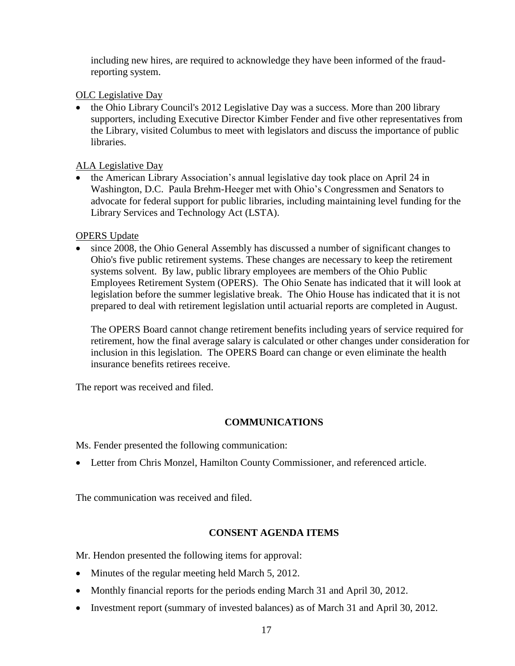including new hires, are required to acknowledge they have been informed of the fraudreporting system.

OLC Legislative Day

• the Ohio Library Council's 2012 Legislative Day was a success. More than 200 library supporters, including Executive Director Kimber Fender and five other representatives from the Library, visited Columbus to meet with legislators and discuss the importance of public libraries.

ALA Legislative Day

• the American Library Association's annual legislative day took place on April 24 in Washington, D.C. Paula Brehm-Heeger met with Ohio's Congressmen and Senators to advocate for federal support for public libraries, including maintaining level funding for the Library Services and Technology Act (LSTA).

OPERS Update

 since 2008, the Ohio General Assembly has discussed a number of significant changes to Ohio's five public retirement systems. These changes are necessary to keep the retirement systems solvent. By law, public library employees are members of the Ohio Public Employees Retirement System (OPERS). The Ohio Senate has indicated that it will look at legislation before the summer legislative break. The Ohio House has indicated that it is not prepared to deal with retirement legislation until actuarial reports are completed in August.

The OPERS Board cannot change retirement benefits including years of service required for retirement, how the final average salary is calculated or other changes under consideration for inclusion in this legislation. The OPERS Board can change or even eliminate the health insurance benefits retirees receive.

The report was received and filed.

# **COMMUNICATIONS**

Ms. Fender presented the following communication:

Letter from Chris Monzel, Hamilton County Commissioner, and referenced article.

The communication was received and filed.

# **CONSENT AGENDA ITEMS**

Mr. Hendon presented the following items for approval:

- Minutes of the regular meeting held March 5, 2012.
- Monthly financial reports for the periods ending March 31 and April 30, 2012.
- Investment report (summary of invested balances) as of March 31 and April 30, 2012.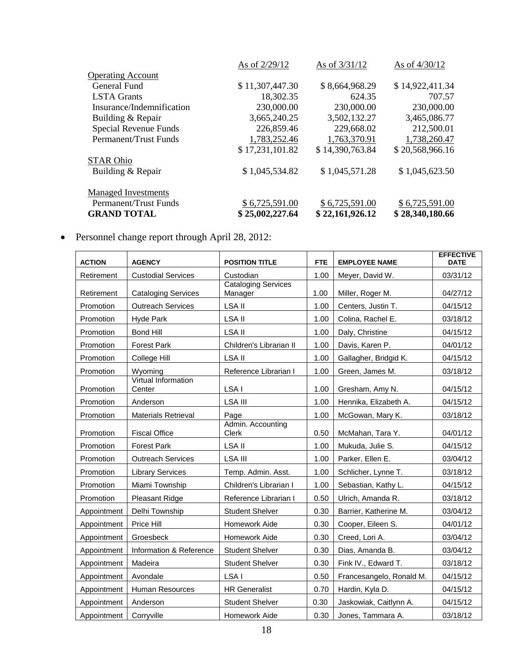|                            | As of 2/29/12   | As of 3/31/12   | As of 4/30/12   |
|----------------------------|-----------------|-----------------|-----------------|
| <b>Operating Account</b>   |                 |                 |                 |
| General Fund               | \$11,307,447.30 | \$8,664,968.29  | \$14,922,411.34 |
| <b>LSTA</b> Grants         | 18,302.35       | 624.35          | 707.57          |
| Insurance/Indemnification  | 230,000.00      | 230,000.00      | 230,000.00      |
| Building & Repair          | 3,665,240.25    | 3,502,132.27    | 3,465,086.77    |
| Special Revenue Funds      | 226,859.46      | 229,668.02      | 212,500.01      |
| Permanent/Trust Funds      | 1,783,252.46    | 1,763,370.91    | 1,738,260.47    |
|                            | \$17,231,101.82 | \$14,390,763.84 | \$20,568,966.16 |
| <b>STAR Ohio</b>           |                 |                 |                 |
| Building & Repair          | \$1,045,534.82  | \$1,045,571.28  | \$1,045,623.50  |
| <b>Managed Investments</b> |                 |                 |                 |
| Permanent/Trust Funds      | \$6,725,591.00  | \$6,725,591.00  | \$6,725,591.00  |
| <b>GRAND TOTAL</b>         | \$25,002,227.64 | \$22,161,926.12 | \$28,340,180.66 |

Personnel change report through April 28, 2012:

| <b>ACTION</b> | <b>AGENCY</b>                 | <b>POSITION TITLE</b>                 | <b>FTE</b> | <b>EMPLOYEE NAME</b>     | <b>EFFECTIVE</b><br><b>DATE</b> |
|---------------|-------------------------------|---------------------------------------|------------|--------------------------|---------------------------------|
| Retirement    | <b>Custodial Services</b>     | Custodian                             | 1.00       | Meyer, David W.          | 03/31/12                        |
| Retirement    | <b>Cataloging Services</b>    | <b>Cataloging Services</b><br>Manager | 1.00       | Miller, Roger M.         | 04/27/12                        |
| Promotion     | <b>Outreach Services</b>      | LSA II                                | 1.00       | Centers, Justin T.       | 04/15/12                        |
| Promotion     | Hyde Park                     | LSA II                                | 1.00       | Colina, Rachel E.        | 03/18/12                        |
| Promotion     | Bond Hill                     | LSA II                                | 1.00       | Daly, Christine          | 04/15/12                        |
| Promotion     | <b>Forest Park</b>            | Children's Librarian II               | 1.00       | Davis, Karen P.          | 04/01/12                        |
| Promotion     | College Hill                  | LSA II                                | 1.00       | Gallagher, Bridgid K.    | 04/15/12                        |
| Promotion     | Wyoming                       | Reference Librarian I                 | 1.00       | Green, James M.          | 03/18/12                        |
| Promotion     | Virtual Information<br>Center | LSA I                                 | 1.00       | Gresham, Amy N.          | 04/15/12                        |
| Promotion     | Anderson                      | <b>LSA III</b>                        | 1.00       | Hennika, Elizabeth A.    | 04/15/12                        |
| Promotion     | <b>Materials Retrieval</b>    | Page                                  | 1.00       | McGowan, Mary K.         | 03/18/12                        |
| Promotion     | <b>Fiscal Office</b>          | Admin. Accounting<br>Clerk            | 0.50       | McMahan, Tara Y.         | 04/01/12                        |
| Promotion     | <b>Forest Park</b>            | LSA II                                | 1.00       | Mukuda, Julie S.         | 04/15/12                        |
| Promotion     | <b>Outreach Services</b>      | <b>LSA III</b>                        | 1.00       | Parker, Ellen E.         | 03/04/12                        |
| Promotion     | <b>Library Services</b>       | Temp. Admin. Asst.                    | 1.00       | Schlicher, Lynne T.      | 03/18/12                        |
| Promotion     | Miami Township                | Children's Librarian I                | 1.00       | Sebastian, Kathy L.      | 04/15/12                        |
| Promotion     | Pleasant Ridge                | Reference Librarian I                 | 0.50       | Ulrich, Amanda R.        | 03/18/12                        |
| Appointment   | Delhi Township                | <b>Student Shelver</b>                | 0.30       | Barrier, Katherine M.    | 03/04/12                        |
| Appointment   | Price Hill                    | Homework Aide                         | 0.30       | Cooper, Eileen S.        | 04/01/12                        |
| Appointment   | Groesbeck                     | <b>Homework Aide</b>                  | 0.30       | Creed, Lori A.           | 03/04/12                        |
| Appointment   | Information & Reference       | <b>Student Shelver</b>                | 0.30       | Dias, Amanda B.          | 03/04/12                        |
| Appointment   | Madeira                       | <b>Student Shelver</b>                | 0.30       | Fink IV., Edward T.      | 03/18/12                        |
| Appointment   | Avondale                      | LSA I                                 | 0.50       | Francesangelo, Ronald M. | 04/15/12                        |
| Appointment   | Human Resources               | <b>HR Generalist</b>                  | 0.70       | Hardin, Kyla D.          | 04/15/12                        |
| Appointment   | Anderson                      | <b>Student Shelver</b>                | 0.30       | Jaskowiak, Caitlynn A.   | 04/15/12                        |
| Appointment   | Corryville                    | Homework Aide                         | 0.30       | Jones, Tammara A.        | 03/18/12                        |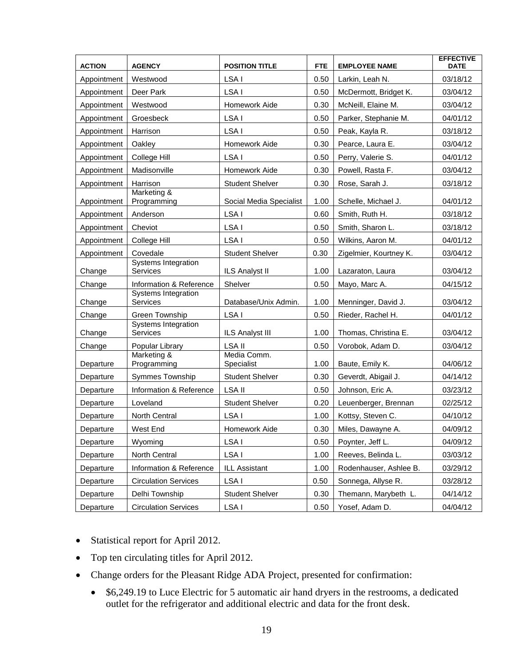| <b>ACTION</b> | <b>AGENCY</b>                                 | <b>POSITION TITLE</b>     | <b>FTE</b> | <b>EMPLOYEE NAME</b>   | <b>EFFECTIVE</b><br><b>DATE</b> |
|---------------|-----------------------------------------------|---------------------------|------------|------------------------|---------------------------------|
| Appointment   | Westwood                                      | LSA I                     | 0.50       | Larkin, Leah N.        | 03/18/12                        |
| Appointment   | Deer Park                                     | LSA I                     | 0.50       | McDermott, Bridget K.  | 03/04/12                        |
| Appointment   | Westwood                                      | Homework Aide             | 0.30       | McNeill, Elaine M.     | 03/04/12                        |
| Appointment   | Groesbeck                                     | LSA I                     | 0.50       | Parker, Stephanie M.   | 04/01/12                        |
| Appointment   | Harrison                                      | LSA I                     | 0.50       | Peak, Kayla R.         | 03/18/12                        |
| Appointment   | Oakley                                        | Homework Aide             | 0.30       | Pearce, Laura E.       | 03/04/12                        |
| Appointment   | College Hill                                  | LSA I                     | 0.50       | Perry, Valerie S.      | 04/01/12                        |
| Appointment   | Madisonville                                  | Homework Aide             | 0.30       | Powell, Rasta F.       | 03/04/12                        |
| Appointment   | Harrison                                      | <b>Student Shelver</b>    | 0.30       | Rose, Sarah J.         | 03/18/12                        |
| Appointment   | Marketing &<br>Programming                    | Social Media Specialist   | 1.00       | Schelle, Michael J.    | 04/01/12                        |
| Appointment   | Anderson                                      | LSA I                     | 0.60       | Smith, Ruth H.         | 03/18/12                        |
| Appointment   | Cheviot                                       | LSA I                     | 0.50       | Smith, Sharon L.       | 03/18/12                        |
| Appointment   | College Hill                                  | LSA I                     | 0.50       | Wilkins, Aaron M.      | 04/01/12                        |
| Appointment   | Covedale                                      | <b>Student Shelver</b>    | 0.30       | Zigelmier, Kourtney K. | 03/04/12                        |
| Change        | Systems Integration<br><b>Services</b>        | <b>ILS Analyst II</b>     | 1.00       | Lazaraton, Laura       | 03/04/12                        |
| Change        | Information & Reference                       | Shelver                   | 0.50       | Mayo, Marc A.          | 04/15/12                        |
| Change        | <b>Systems Integration</b><br><b>Services</b> | Database/Unix Admin.      | 1.00       | Menninger, David J.    | 03/04/12                        |
| Change        | Green Township                                | LSA I                     | 0.50       | Rieder, Rachel H.      | 04/01/12                        |
| Change        | Systems Integration<br>Services               | <b>ILS Analyst III</b>    | 1.00       | Thomas, Christina E.   | 03/04/12                        |
| Change        | Popular Library                               | LSA II                    | 0.50       | Vorobok, Adam D.       | 03/04/12                        |
| Departure     | Marketing &<br>Programming                    | Media Comm.<br>Specialist | 1.00       | Baute, Emily K.        | 04/06/12                        |
| Departure     | Symmes Township                               | <b>Student Shelver</b>    | 0.30       | Geverdt, Abigail J.    | 04/14/12                        |
| Departure     | Information & Reference                       | <b>LSA II</b>             | 0.50       | Johnson, Eric A.       | 03/23/12                        |
| Departure     | Loveland                                      | <b>Student Shelver</b>    | 0.20       | Leuenberger, Brennan   | 02/25/12                        |
| Departure     | North Central                                 | LSA I                     | 1.00       | Kottsy, Steven C.      | 04/10/12                        |
| Departure     | West End                                      | Homework Aide             | 0.30       | Miles, Dawayne A.      | 04/09/12                        |
| Departure     | Wyoming                                       | LSA I                     | 0.50       | Poynter, Jeff L.       | 04/09/12                        |
| Departure     | North Central                                 | LSA I                     | 1.00       | Reeves, Belinda L.     | 03/03/12                        |
| Departure     | Information & Reference                       | ILL Assistant             | 1.00       | Rodenhauser, Ashlee B. | 03/29/12                        |
| Departure     | <b>Circulation Services</b>                   | LSA I                     | 0.50       | Sonnega, Allyse R.     | 03/28/12                        |
| Departure     | Delhi Township                                | <b>Student Shelver</b>    | 0.30       | Themann, Marybeth L.   | 04/14/12                        |
| Departure     | <b>Circulation Services</b>                   | LSA I                     | 0.50       | Yosef, Adam D.         | 04/04/12                        |

- Statistical report for April 2012.
- Top ten circulating titles for April 2012.
- Change orders for the Pleasant Ridge ADA Project, presented for confirmation:
	- \$6,249.19 to Luce Electric for 5 automatic air hand dryers in the restrooms, a dedicated outlet for the refrigerator and additional electric and data for the front desk.